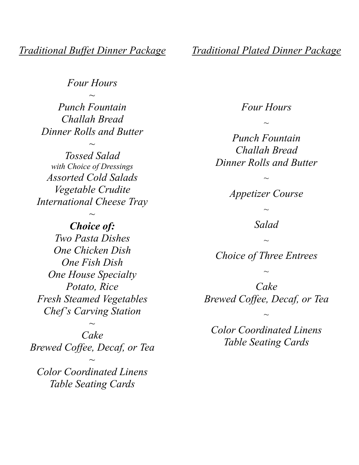*Four Hours ~*

*Punch Fountain Challah Bread Dinner Rolls and Butter*

*~ Tossed Salad with Choice of Dressings Assorted Cold Salads Vegetable Crudite International Cheese Tray*

*~*

*Choice of: Two Pasta Dishes One Chicken Dish One Fish Dish One House Specialty Potato, Rice Fresh Steamed Vegetables Chef's Carving Station*

*Cake Brewed Coffee, Decaf, or Tea*

*~*

*Color Coordinated Linens Table Seating Cards*

*~*

*Traditional Plated Dinner Package*

#### *Four Hours*

*~*

*Punch Fountain Challah Bread Dinner Rolls and Butter*

*~ Appetizer Course ~ Salad ~ Choice of Three Entrees ~ Cake Brewed Coffee, Decaf, or Tea*

*Color Coordinated Linens Table Seating Cards*

*~*